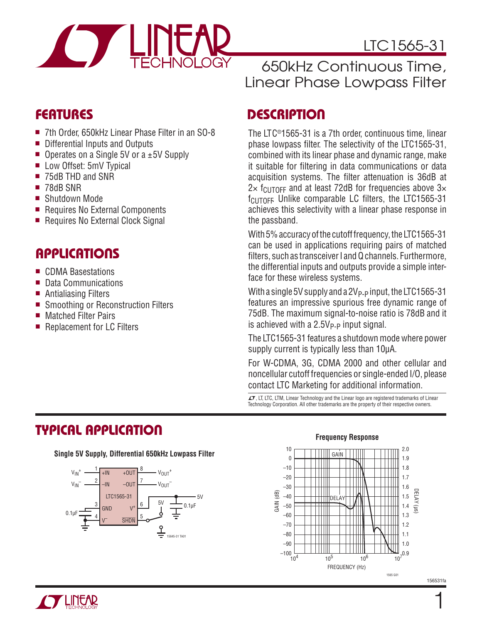

# LTC1565-31

# 650kHz Continuous Time, Linear Phase Lowpass Filter

- 7th Order, 650kHz Linear Phase Filter in an SO-8
- Differential Inputs and Outputs
- **De** Operates on a Single 5V or a  $\pm$  5V Supply
- Low Offset: 5mV Typical
- 75dB THD and SNR
- 78dB SNR
- Shutdown Mode
- Requires No External Components
- Requires No External Clock Signal

### **APPLICATIONS**

- **n** CDMA Basestations
- Data Communications
- $\blacksquare$  Antialiasing Filters
- Smoothing or Reconstruction Filters
- Matched Filter Pairs
- Replacement for LC Filters

# **FEATURES DESCRIPTION**

The LTC®1565-31 is a 7th order, continuous time, linear phase lowpass filter. The selectivity of the LTC1565-31, combined with its linear phase and dynamic range, make it suitable for filtering in data communications or data acquisition systems. The filter attenuation is 36dB at  $2 \times$  f<sub>CUTOFF</sub> and at least 72dB for frequencies above  $3 \times$  $f<sub>CUTOFF</sub>$  Unlike comparable LC filters, the LTC1565-31 achieves this selectivity with a linear phase response in the passband.

With 5% accuracy of the cutoff frequency, the LTC1565-31 can be used in applications requiring pairs of matched filters, such as transceiver I and Q channels. Furthermore, the differential inputs and outputs provide a simple interface for these wireless systems.

With a single 5V supply and a  $2V_{P-P}$  input, the LTC1565-31 features an impressive spurious free dynamic range of 75dB. The maximum signal-to-noise ratio is 78dB and it is achieved with a  $2.5V_{P-P}$  input signal.

The LTC1565-31 features a shutdown mode where power supply current is typically less than 10μA.

For W-CDMA, 3G, CDMA 2000 and other cellular and noncellular cutoff frequencies or single-ended I/O, please contact LTC Marketing for additional information.

 $I$ , LT, LTC, LTM, Linear Technology and the Linear logo are registered trademarks of Linear Technology Corporation. All other trademarks are the property of their respective owners.

# **TYPICAL APPLICATION**

**Single 5V Supply, Differential 650kHz Lowpass Filter**



### **Frequency Response**





156531fa

1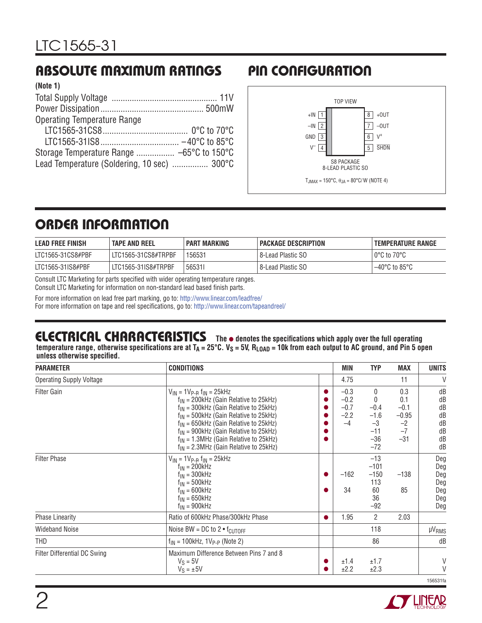# **ABSOLUTE MAXIMUM RATINGS PIN CONFIGURATION**

| (Note 1)                                    |  |
|---------------------------------------------|--|
|                                             |  |
|                                             |  |
| <b>Operating Temperature Range</b>          |  |
|                                             |  |
|                                             |  |
|                                             |  |
| Lead Temperature (Soldering, 10 sec)  300°C |  |
|                                             |  |



# **ORDER INFORMATION**

| <b>LEAD FREE FINISH</b> | <b>TAPE AND REEL</b> | <b>PART MARKING</b> | PACKAGE DESCRIPTION | TEMPERATURE RANGE       |
|-------------------------|----------------------|---------------------|---------------------|-------------------------|
| LTC1565-31CS8#PBF       | LTC1565-31CS8#TRPBF  | 156531              | 8-Lead Plastic SO   | $\circ$ 0°C to 70°C     |
| LTC1565-31IS8#PBF       | LTC1565-31IS8#TRPBF  | 565311              | 8-Lead Plastic SO   | $-40^{\circ}$ C to 85°C |

Consult LTC Marketing for parts specified with wider operating temperature ranges.

Consult LTC Marketing for information on non-standard lead based finish parts.

For more information on lead free part marking, go to: http://www.linear.com/leadfree/

For more information on tape and reel specifications, go to: http://www.linear.com/tapeandreel/

#### **The** l **denotes the specifi cations which apply over the full operating ELECTRICAL CHARACTERISTICS**

temperature range, otherwise specifications are at T<sub>A</sub> = 25°C. V<sub>S</sub> = 5V, R<sub>LOAD</sub> = 10k from each output to AC ground, and Pin 5 open unless otherwise specified.

| <b>PARAMETER</b>                | <b>CONDITIONS</b>                                                                                                                                                                                                                                                                                                                                                                | <b>MIN</b>                                   | <b>TYP</b>                                                      | <b>MAX</b>                                               | <b>UNITS</b>                                  |
|---------------------------------|----------------------------------------------------------------------------------------------------------------------------------------------------------------------------------------------------------------------------------------------------------------------------------------------------------------------------------------------------------------------------------|----------------------------------------------|-----------------------------------------------------------------|----------------------------------------------------------|-----------------------------------------------|
| <b>Operating Supply Voltage</b> |                                                                                                                                                                                                                                                                                                                                                                                  | 4.75                                         |                                                                 | 11                                                       | $\vee$                                        |
| <b>Filter Gain</b>              | $V_{IN}$ = 1 $V_{P-B}$ f <sub>IN</sub> = 25kHz<br>$f_{IN}$ = 200kHz (Gain Relative to 25kHz)<br>$f_{IN}$ = 300kHz (Gain Relative to 25kHz)<br>$f_{IN}$ = 500kHz (Gain Relative to 25kHz)<br>$f_{IN}$ = 650kHz (Gain Relative to 25kHz)<br>$f_{IN}$ = 900kHz (Gain Relative to 25kHz)<br>$f_{IN}$ = 1.3MHz (Gain Relative to 25kHz)<br>$f_{IN}$ = 2.3MHz (Gain Relative to 25kHz) | $-0.3$<br>$-0.2$<br>$-0.7$<br>$-2.2$<br>$-4$ | $\Omega$<br>$-0.4$<br>$-1.6$<br>$-3$<br>$-11$<br>$-36$<br>$-72$ | 0.3<br>0.1<br>$-0.1$<br>$-0.95$<br>$-2$<br>$-7$<br>$-31$ | dB<br>dB<br>dB<br>dB<br>dB<br>dB<br>dB<br>dB  |
| <b>Filter Phase</b>             | $V_{IN}$ = 1 $V_{P-B}$ $f_{IN}$ = 25kHz<br>$f_{IN} = 200kHz$<br>$f_{IN} = 300kHz$<br>$f_{IN} = 500kHz$<br>$f_{IN} = 600kHz$<br>$f_{IN} = 650kHz$<br>$f_{IN}$ = 900kHz                                                                                                                                                                                                            | $-162$<br>34                                 | $-13$<br>$-101$<br>$-150$<br>113<br>60<br>36<br>$-92$           | $-138$<br>85                                             | Deg<br>Deg<br>Deg<br>Deg<br>Deg<br>Deg<br>Deg |
| <b>Phase Linearity</b>          | Ratio of 600kHz Phase/300kHz Phase                                                                                                                                                                                                                                                                                                                                               | 1.95                                         | $\overline{2}$                                                  | 2.03                                                     |                                               |
| <b>Wideband Noise</b>           | Noise BW = DC to $2 \cdot f_{\text{CUTOFF}}$                                                                                                                                                                                                                                                                                                                                     |                                              | 118                                                             |                                                          | <b>µVRMS</b>                                  |
| <b>THD</b>                      | $f_{IN}$ = 100kHz, 1V <sub>P-P</sub> (Note 2)                                                                                                                                                                                                                                                                                                                                    |                                              | 86                                                              |                                                          | dB                                            |
| Filter Differential DC Swing    | Maximum Difference Between Pins 7 and 8<br>$V_S = 5V$<br>$V_S = \pm 5V$                                                                                                                                                                                                                                                                                                          | ±1.4<br>±2.2                                 | ±1.7<br>±2.3                                                    |                                                          | V<br>$\vee$<br>156531fa                       |



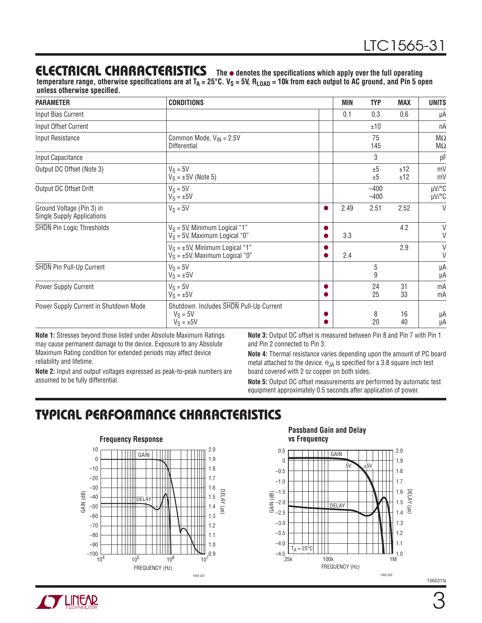#### **The** l **denotes the specifi cations which apply over the full operating ELECTRICAL CHARACTERISTICS**

temperature range, otherwise specifications are at T<sub>A</sub> = 25°C. V<sub>S</sub> = 5V, R<sub>LOAD</sub> = 10k from each output to AC ground, and Pin 5 open **unless otherwise specified.** 

| <b>PARAMETER</b>                                               | <b>CONDITIONS</b>                                                            | <b>MIN</b> | <b>TYP</b>       | <b>MAX</b> | <b>UNITS</b>           |
|----------------------------------------------------------------|------------------------------------------------------------------------------|------------|------------------|------------|------------------------|
| Input Bias Current                                             |                                                                              | 0.1        | 0.3              | 0.6        | μA                     |
| Input Offset Current                                           |                                                                              |            | ±10              |            | nA                     |
| Input Resistance                                               | Common Mode, $V_{IN} = 2.5V$<br><b>Differential</b>                          |            | 75<br>145        |            | $M\Omega$<br>$M\Omega$ |
| Input Capacitance                                              |                                                                              |            | 3                |            | pF                     |
| Output DC Offset (Note 3)                                      | $V_S = 5V$<br>$V_S = \pm 5V$ (Note 5)                                        |            | ±5<br>±5         | ±12<br>±12 | mV<br>mV               |
| Output DC Offset Drift                                         | $V_S = 5V$<br>$V_S = \pm 5V$                                                 |            | $-400$<br>$-400$ |            | µV/°C<br>$\mu$ V/°C    |
| Ground Voltage (Pin 3) in<br><b>Single Supply Applications</b> | $V_S = 5V$                                                                   | 2.49       | 2.51             | 2.52       | $\vee$                 |
| <b>SHDN</b> Pin Logic Thresholds                               | $V_S$ = 5V, Minimum Logical "1"<br>$V_S$ = 5V, Maximum Logical "0"           | 3.3        |                  | 4.2        | V<br>V                 |
|                                                                | $V_S = \pm 5V$ , Minimum Logical "1"<br>$V_S = \pm 5V$ , Maximum Logical "0" | 2.4        |                  | 2.9        | $\vee$<br>$\vee$       |
| <b>SHDN</b> Pin Pull-Up Current                                | $V_S = 5V$<br>$V_S = \pm 5V$                                                 |            | 5<br>9           |            | μA<br>μA               |
| Power Supply Current                                           | $V_S = 5V$<br>$V_S = \pm 5V$                                                 |            | 24<br>25         | 31<br>33   | mA<br>mA               |
| Power Supply Current in Shutdown Mode                          | Shutdown. Includes SHDN Pull-Up Current<br>$V_S = 5V$<br>$V_S = \pm 5V$      |            | 8<br>20          | 16<br>40   | μA<br>μA               |

**Note 1:** Stresses beyond those listed under Absolute Maximum Ratings may cause permanent damage to the device. Exposure to any Absolute Maximum Rating condition for extended periods may affect device reliability and lifetime.

**Note 2:** Input and output voltages expressed as peak-to-peak numbers are assumed to be fully differential.

**Note 3:** Output DC offset is measured between Pin 8 and Pin 7 with Pin 1 and Pin 2 connected to Pin 3.

**Note 4:** Thermal resistance varies depending upon the amount of PC board metal attached to the device.  $\theta_{JA}$  is specified for a 3.8 square inch test board covered with 2 oz copper on both sides.

**Note 5:** Output DC offset measurements are performed by automatic test equipment approximately 0.5 seconds after application of power.

## **TYPICAL PERFORMANCE CHARACTERISTICS**



**Passband Gain and Delay vs Frequency**





156531fa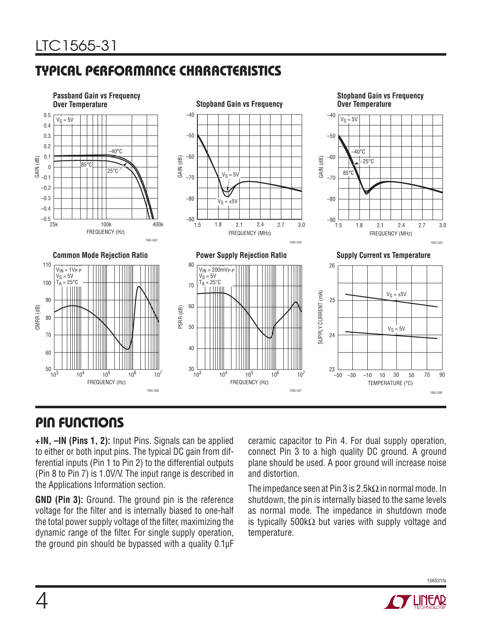# **TYPICAL PERFORMANCE CHARACTERISTICS**



## **PIN FUNCTIONS**

**+IN, –IN (Pins 1, 2):** Input Pins. Signals can be applied to either or both input pins. The typical DC gain from differential inputs (Pin 1 to Pin 2) to the differential outputs (Pin 8 to Pin 7) is 1.0V/V. The input range is described in the Applications Information section.

**GND (Pin 3):** Ground. The ground pin is the reference voltage for the filter and is internally biased to one-half the total power supply voltage of the filter, maximizing the dynamic range of the filter. For single supply operation, the ground pin should be bypassed with a quality 0.1μF ceramic capacitor to Pin 4. For dual supply operation, connect Pin 3 to a high quality DC ground. A ground plane should be used. A poor ground will increase noise and distortion.

The impedance seen at Pin 3 is 2.5kΩ in normal mode. In shutdown, the pin is internally biased to the same levels as normal mode. The impedance in shutdown mode is typically 500k $\Omega$  but varies with supply voltage and temperature.



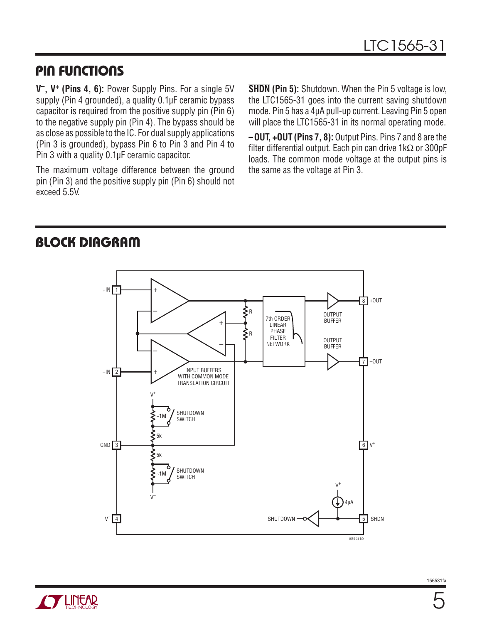### **PIN FUNCTIONS**

**V–, V+ (Pins 4, 6):** Power Supply Pins. For a single 5V supply (Pin 4 grounded), a quality 0.1µF ceramic bypass capacitor is required from the positive supply pin (Pin 6) to the negative supply pin (Pin 4). The bypass should be as close as possible to the IC. For dual supply applications (Pin 3 is grounded), bypass Pin 6 to Pin 3 and Pin 4 to Pin 3 with a quality 0.1μF ceramic capacitor.

The maximum voltage difference between the ground pin (Pin 3) and the positive supply pin (Pin 6) should not exceed 5.5V.

**SHDN (Pin 5):** Shutdown. When the Pin 5 voltage is low, the LTC1565-31 goes into the current saving shutdown mode. Pin 5 has a 4μA pull-up current. Leaving Pin 5 open will place the LTC1565-31 in its normal operating mode.

**–OUT, +OUT (Pins 7, 8):** Output Pins. Pins 7 and 8 are the filter differential output. Each pin can drive  $1k\Omega$  or 300pF loads. The common mode voltage at the output pins is the same as the voltage at Pin 3.

### **BLOCK DIAGRAM**



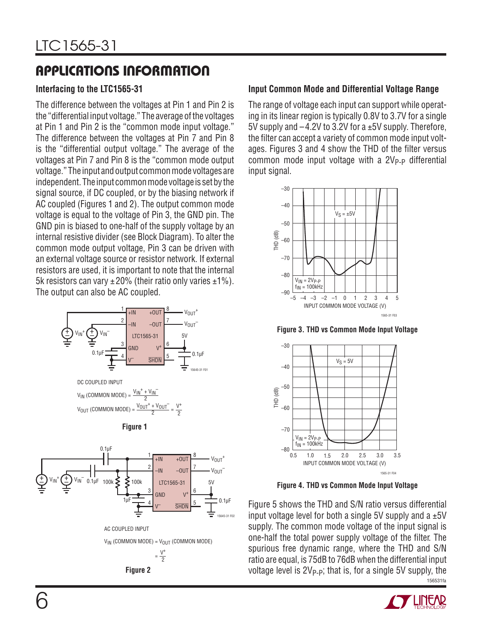# **APPLICATIONS INFORMATION**

### **Interfacing to the LTC1565-31**

The difference between the voltages at Pin 1 and Pin 2 is the "differential input voltage." The average of the voltages at Pin 1 and Pin 2 is the "common mode input voltage." The difference between the voltages at Pin 7 and Pin 8 is the "differential output voltage." The average of the voltages at Pin 7 and Pin 8 is the "common mode output voltage." The input and output common mode voltages are independent. The input common mode voltage is set by the signal source, if DC coupled, or by the biasing network if AC coupled (Figures 1 and 2). The output common mode voltage is equal to the voltage of Pin 3, the GND pin. The GND pin is biased to one-half of the supply voltage by an internal resistive divider (see Block Diagram). To alter the common mode output voltage, Pin 3 can be driven with an external voltage source or resistor network. If external resistors are used, it is important to note that the internal 5k resistors can vary  $\pm 20\%$  (their ratio only varies  $\pm 1\%$ ). The output can also be AC coupled.



 $V_{IN}$  (COMMON MODE) =  $V_{OUT}$  (COMMON MODE)  $=\frac{V^{+}}{2}$ 

 $0.1$ ul



### **Input Common Mode and Differential Voltage Range**

The range of voltage each input can support while operating in its linear region is typically 0.8V to 3.7V for a single 5V supply and –4.2V to 3.2V for a ±5V supply. Therefore, the filter can accept a variety of common mode input voltages. Figures 3 and 4 show the THD of the filter versus common mode input voltage with a  $2V_{P-P}$  differential input signal.



**Figure 3. THD vs Common Mode Input Voltage**



**Figure 4. THD vs Common Mode Input Voltage**

156531fa Figure 5 shows the THD and S/N ratio versus differential input voltage level for both a single 5V supply and a  $\pm 5V$ supply. The common mode voltage of the input signal is one-half the total power supply voltage of the filter. The spurious free dynamic range, where the THD and S/N ratio are equal, is 75dB to 76dB when the differential input **Figure 2** voltage level is  $2V_{P-P}$ ; that is, for a single 5V supply, the

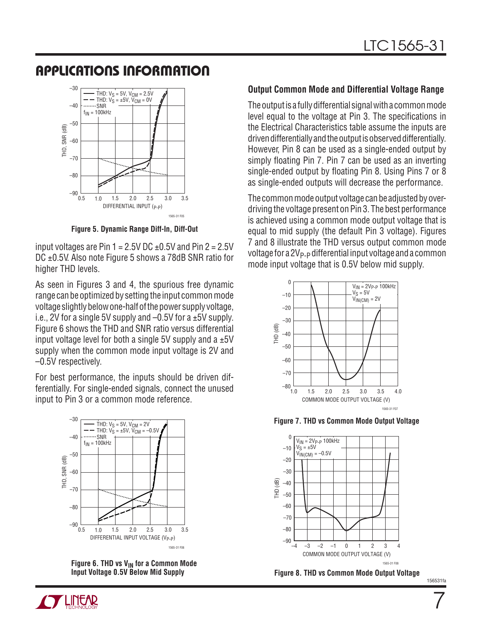### **APPLICATIONS INFORMATION**



**Figure 5. Dynamic Range Diff-In, Diff-Out**

input voltages are Pin  $1 = 2.5V$  DC  $\pm$ 0.5V and Pin 2 = 2.5V DC ±0.5V. Also note Figure 5 shows a 78dB SNR ratio for higher THD levels.

As seen in Figures 3 and 4, the spurious free dynamic range can be optimized by setting the input common mode voltage slightly below one-half of the power supply voltage, i.e., 2V for a single 5V supply and  $-0.5V$  for a  $\pm 5V$  supply. Figure 6 shows the THD and SNR ratio versus differential input voltage level for both a single 5V supply and a  $\pm 5V$ supply when the common mode input voltage is 2V and –0.5V respectively.

For best performance, the inputs should be driven differentially. For single-ended signals, connect the unused input to Pin 3 or a common mode reference.



Figure 6. THD vs V<sub>IN</sub> for a Common Mode **Input Voltage 0.5V Below Mid Supply**

### **Output Common Mode and Differential Voltage Range**

The output is a fully differential signal with a common mode level equal to the voltage at Pin 3. The specifications in the Electrical Characteristics table assume the inputs are driven differentially and the output is observed differentially. However, Pin 8 can be used as a single-ended output by simply floating Pin 7. Pin 7 can be used as an inverting single-ended output by floating Pin 8. Using Pins 7 or 8 as single-ended outputs will decrease the performance.

The common mode output voltage can be adjusted by overdriving the voltage present on Pin 3. The best performance is achieved using a common mode output voltage that is equal to mid supply (the default Pin 3 voltage). Figures 7 and 8 illustrate the THD versus output common mode voltage for a  $2V_{P-P}$  differential input voltage and a common mode input voltage that is 0.5V below mid supply.



**Figure 7. THD vs Common Mode Output Voltage**



**Figure 8. THD vs Common Mode Output Voltage**

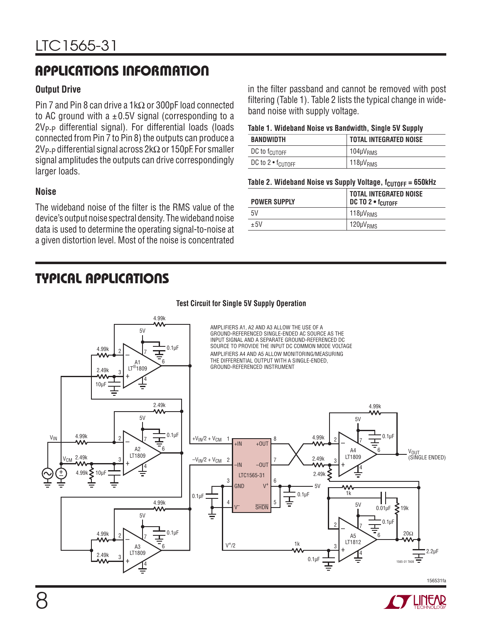# **APPLICATIONS INFORMATION**

### **Output Drive**

Pin 7 and Pin 8 can drive a 1kΩ or 300pF load connected to AC ground with a  $\pm$  0.5V signal (corresponding to a  $2V_{\text{P-P}}$  differential signal). For differential loads (loads connected from Pin 7 to Pin 8) the outputs can produce a 2V<sub>P-P</sub> differential signal across 2kΩ or 150pF. For smaller signal amplitudes the outputs can drive correspondingly larger loads.

### **Noise**

The wideband noise of the filter is the RMS value of the device's output noise spectral density. The wideband noise data is used to determine the operating signal-to-noise at a given distortion level. Most of the noise is concentrated

### **TYPICAL APPLICATIONS**

in the filter passband and cannot be removed with post filtering (Table 1). Table 2 lists the typical change in wideband noise with supply voltage.

### **Table 1. Wideband Noise vs Bandwidth, Single 5V Supply**

| BANDWIDTH                             | <b>TOTAL INTEGRATED NOISE</b> |
|---------------------------------------|-------------------------------|
| DC to f <sub>CUTOFF</sub>             | 104µV <sub>RMS</sub>          |
| DC to 2 $\bullet$ f <sub>CUTOFF</sub> | 118µV <sub>RMS</sub>          |

### **Table 2. Wideband Noise vs Supply Voltage, f<sub>CUTOFF</sub> = 650kHz**

| TOTAL INTEGRATED NOISE |
|------------------------|
|                        |
|                        |
|                        |

#### 4.99k AMPLIFIERS A1, A2 AND A3 ALLOW THE USE OF A  $5V$ GROUND-REFERENCED SINGLE-ENDED AC SOURCE AS THE INPUT SIGNAL AND A SEPARATE GROUND-REFERENCED DC SOURCE TO PROVIDE THE INPUT DC COMMON MODE VOLTAGE 4.99k 0.1μF – 2 7 AMPLIFIERS A4 AND A5 ALLOW MONITORING/MEASURING THE DIFFERENTIAL OUTPUT WITH A SINGLE-ENDED, A1 6 GROUND-REFERENCED INSTRUMENT + LT®1809 2.49k 3 4 10μF 2.49k 4.99k  $5V$  $5V$  $0.1 \mu$ F +V<sub>IN</sub>/2 + V<sub>CM</sub> 4.99k 0.1μF – 4.99k  $V_{\text{IN}}$  4.99k 2  $\sqrt{7}$ – 2 1 8 2 7 +IN +OUT A2 6 A4 VOUT 6 11809<br>م 2.49k | LT1809 (SINGLE ENDED) LT1809  $2.49k$  $-V_{IN}/2 + V_{CM}$ 3 2  $\overline{1}$ 7 3 –OUT –IN 4 4  $^{-}$ 2.49k 4.99k **>** 10μF LTC1565-31  $\frac{1}{\tau}$ 3 6 GND  $\overline{V}$ 5V w 1k 0.1μF  $\equiv$  | | | | |  $\equiv$   $\sim$   $\sim$  | |  $\equiv$   $\sim$   $\sim$  1 4.99k 4 5  $5V$ V– **SHDN**  $0.01 \mu F \leq 19k$ 5V 0.1μF – 2 7 ∓  $0.1$ μF 4.99k 20Ω – A5 6 2 7 LT1812<br>م 1k  $V^{+}/2$ A3 6 3 LT1809 2.2μF 2.49k 4 + 3 0.1μF 1565-31 TA08 4 156531fa

**Test Circuit for Single 5V Supply Operation**

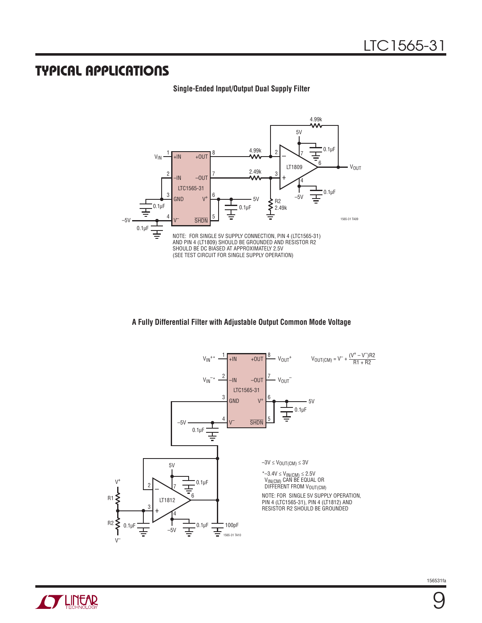### **TYPICAL APPLICATIONS**

### **Single-Ended Input/Output Dual Supply Filter**



### **A Fully Differential Filter with Adjustable Output Common Mode Voltage**



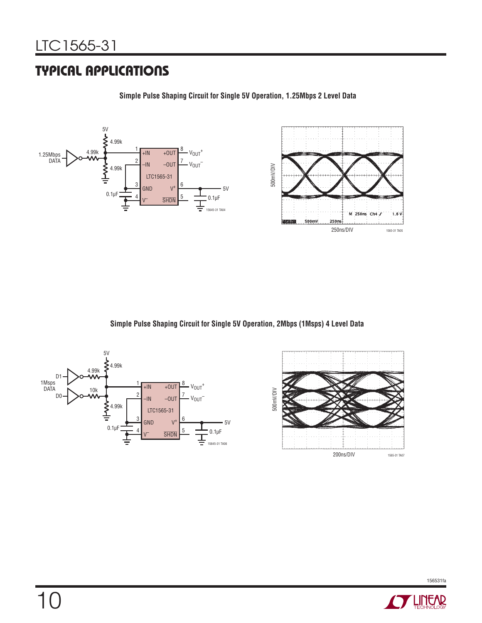### **TYPICAL APPLICATIONS**



**Simple Pulse Shaping Circuit for Single 5V Operation, 1.25Mbps 2 Level Data**

**Simple Pulse Shaping Circuit for Single 5V Operation, 2Mbps (1Msps) 4 Level Data**







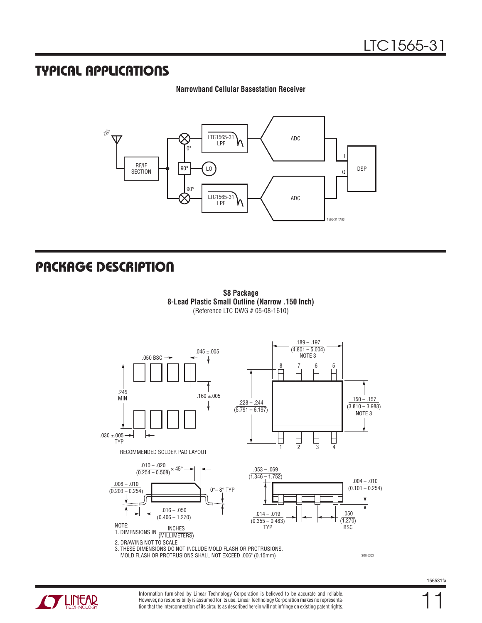### **TYPICAL APPLICATIONS**

### **Narrowband Cellular Basestation Receiver**



### **PACKAGE DESCRIPTION**







Information furnished by Linear Technology Corporation is believed to be accurate and reliable. However, no responsibility is assumed for its use. Linear Technology Corporation makes no representation that the interconnection of its circuits as described herein will not infringe on existing patent rights. 11